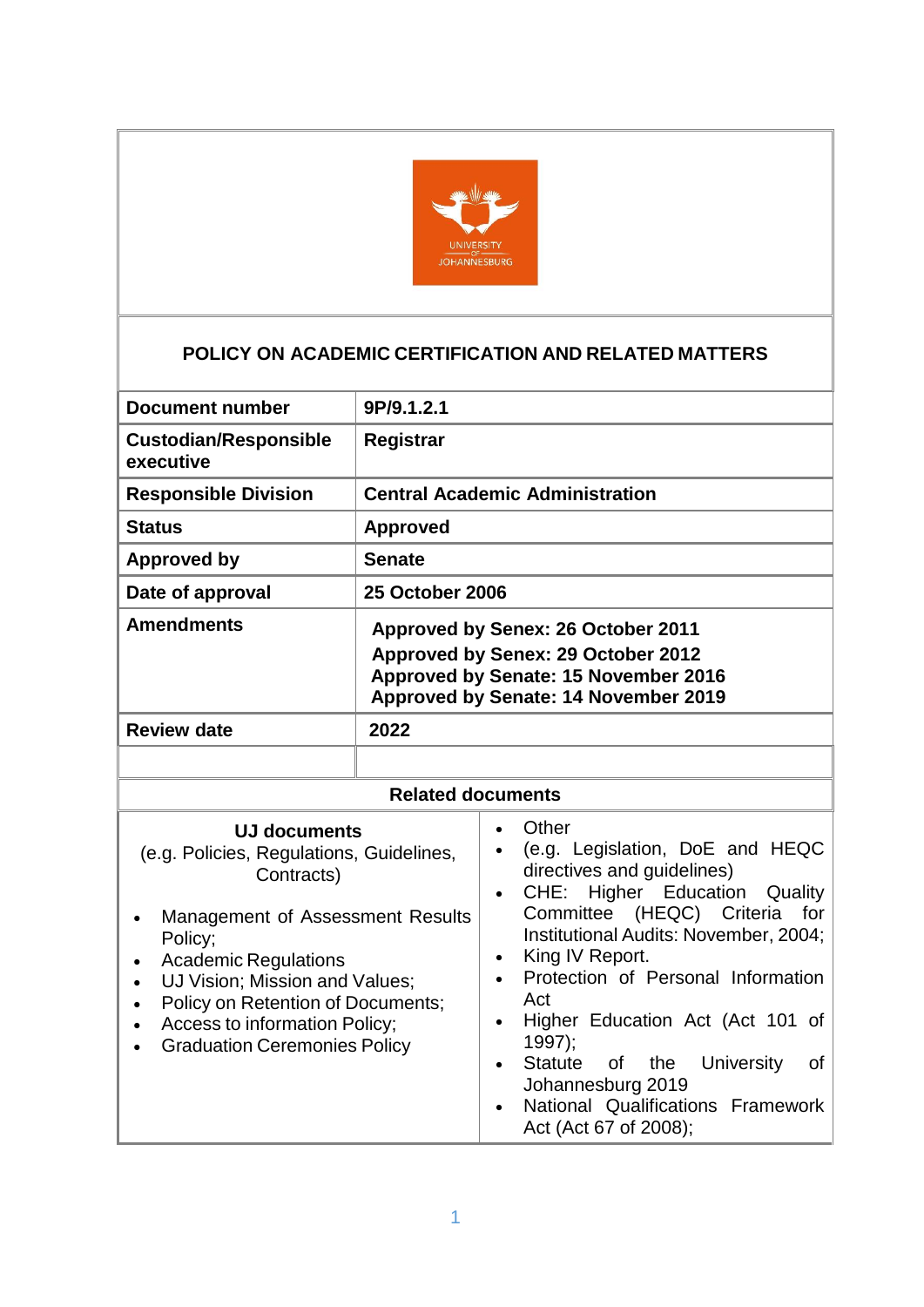

# **POLICY ON ACADEMIC CERTIFICATION AND RELATED MATTERS**

| <b>Document number</b>                                                                                                                                                                                                                                                                                                                            | 9P/9.1.2.1                                                                                                                                                                                                                                                                                                                                                                                                                                                                                               |  |  |
|---------------------------------------------------------------------------------------------------------------------------------------------------------------------------------------------------------------------------------------------------------------------------------------------------------------------------------------------------|----------------------------------------------------------------------------------------------------------------------------------------------------------------------------------------------------------------------------------------------------------------------------------------------------------------------------------------------------------------------------------------------------------------------------------------------------------------------------------------------------------|--|--|
| <b>Custodian/Responsible</b><br>executive                                                                                                                                                                                                                                                                                                         | <b>Registrar</b>                                                                                                                                                                                                                                                                                                                                                                                                                                                                                         |  |  |
| <b>Responsible Division</b>                                                                                                                                                                                                                                                                                                                       | <b>Central Academic Administration</b>                                                                                                                                                                                                                                                                                                                                                                                                                                                                   |  |  |
| <b>Status</b>                                                                                                                                                                                                                                                                                                                                     | <b>Approved</b>                                                                                                                                                                                                                                                                                                                                                                                                                                                                                          |  |  |
| <b>Approved by</b>                                                                                                                                                                                                                                                                                                                                | <b>Senate</b>                                                                                                                                                                                                                                                                                                                                                                                                                                                                                            |  |  |
| Date of approval                                                                                                                                                                                                                                                                                                                                  | <b>25 October 2006</b>                                                                                                                                                                                                                                                                                                                                                                                                                                                                                   |  |  |
| <b>Amendments</b>                                                                                                                                                                                                                                                                                                                                 | <b>Approved by Senex: 26 October 2011</b><br>Approved by Senex: 29 October 2012<br>Approved by Senate: 15 November 2016<br>Approved by Senate: 14 November 2019                                                                                                                                                                                                                                                                                                                                          |  |  |
| <b>Review date</b>                                                                                                                                                                                                                                                                                                                                | 2022                                                                                                                                                                                                                                                                                                                                                                                                                                                                                                     |  |  |
|                                                                                                                                                                                                                                                                                                                                                   |                                                                                                                                                                                                                                                                                                                                                                                                                                                                                                          |  |  |
| <b>Related documents</b>                                                                                                                                                                                                                                                                                                                          |                                                                                                                                                                                                                                                                                                                                                                                                                                                                                                          |  |  |
| <b>UJ documents</b><br>(e.g. Policies, Regulations, Guidelines,<br>Contracts)<br>Management of Assessment Results<br>Policy;<br><b>Academic Regulations</b><br>$\bullet$<br>UJ Vision; Mission and Values;<br>$\bullet$<br>Policy on Retention of Documents;<br>$\bullet$<br>Access to information Policy;<br><b>Graduation Ceremonies Policy</b> | Other<br>$\bullet$<br>(e.g. Legislation, DoE and HEQC<br>directives and guidelines)<br>CHE: Higher Education<br>Quality<br>$\bullet$<br>Committee (HEQC) Criteria<br>for<br>Institutional Audits: November, 2004;<br>King IV Report.<br>$\bullet$<br>Protection of Personal Information<br>Act<br>Higher Education Act (Act 101 of<br>$1997$ :<br><b>Statute</b><br>of<br>the<br><b>University</b><br>of<br>$\bullet$<br>Johannesburg 2019<br>National Qualifications Framework<br>Act (Act 67 of 2008); |  |  |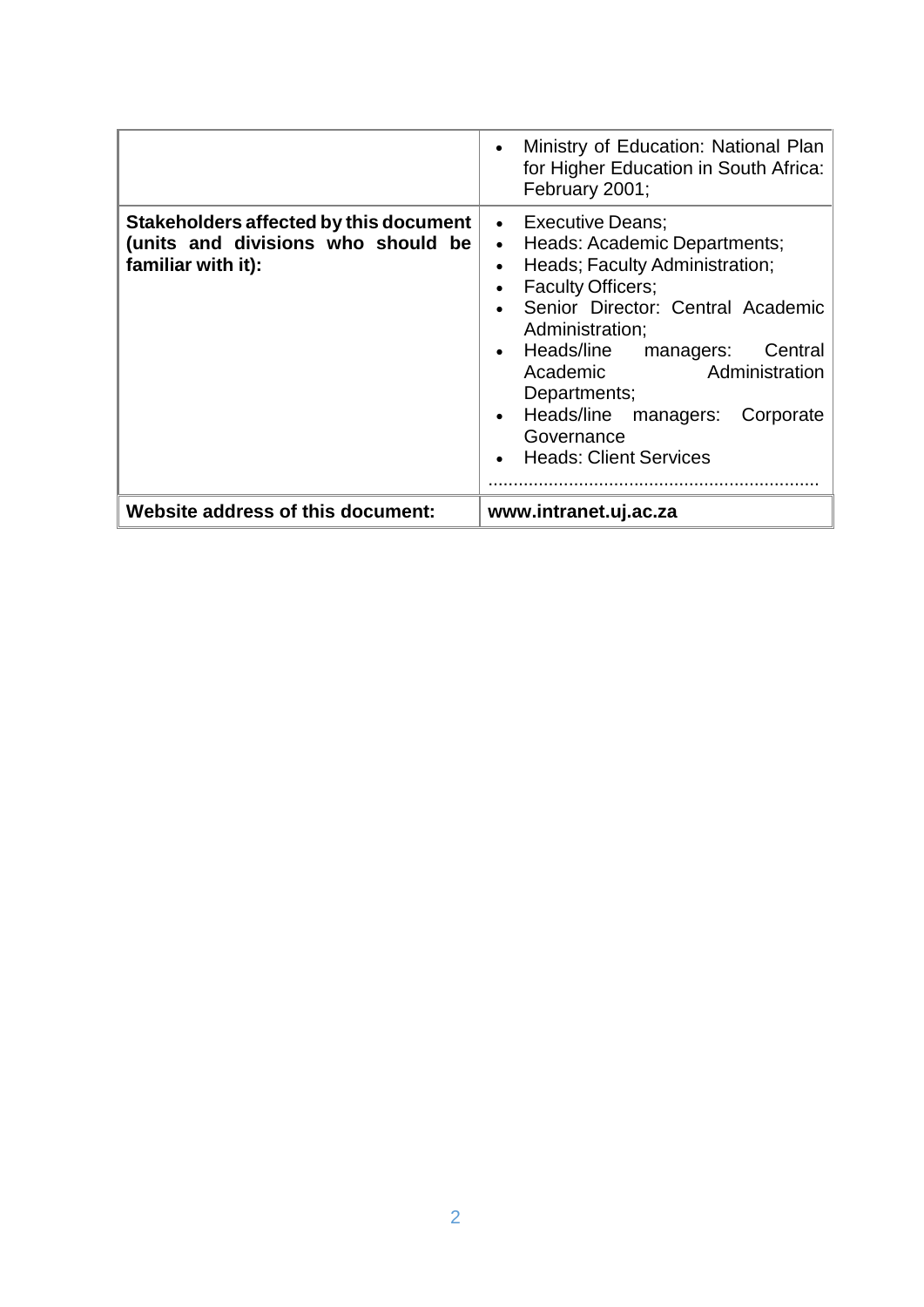|                                                                                                    | Ministry of Education: National Plan<br>$\bullet$<br>for Higher Education in South Africa:<br>February 2001;                                                                                                                                                                                                                                                                  |
|----------------------------------------------------------------------------------------------------|-------------------------------------------------------------------------------------------------------------------------------------------------------------------------------------------------------------------------------------------------------------------------------------------------------------------------------------------------------------------------------|
| Stakeholders affected by this document<br>(units and divisions who should be<br>familiar with it): | • Executive Deans:<br>Heads: Academic Departments;<br>$\bullet$<br>Heads; Faculty Administration;<br><b>Faculty Officers;</b><br>Senior Director: Central Academic<br>Administration;<br>Heads/line<br>Central<br>managers:<br>$\bullet$<br>Administration<br>Academic<br>Departments;<br>Heads/line<br>managers:<br>Corporate<br>Governance<br><b>Heads: Client Services</b> |
| Website address of this document:                                                                  | www.intranet.uj.ac.za                                                                                                                                                                                                                                                                                                                                                         |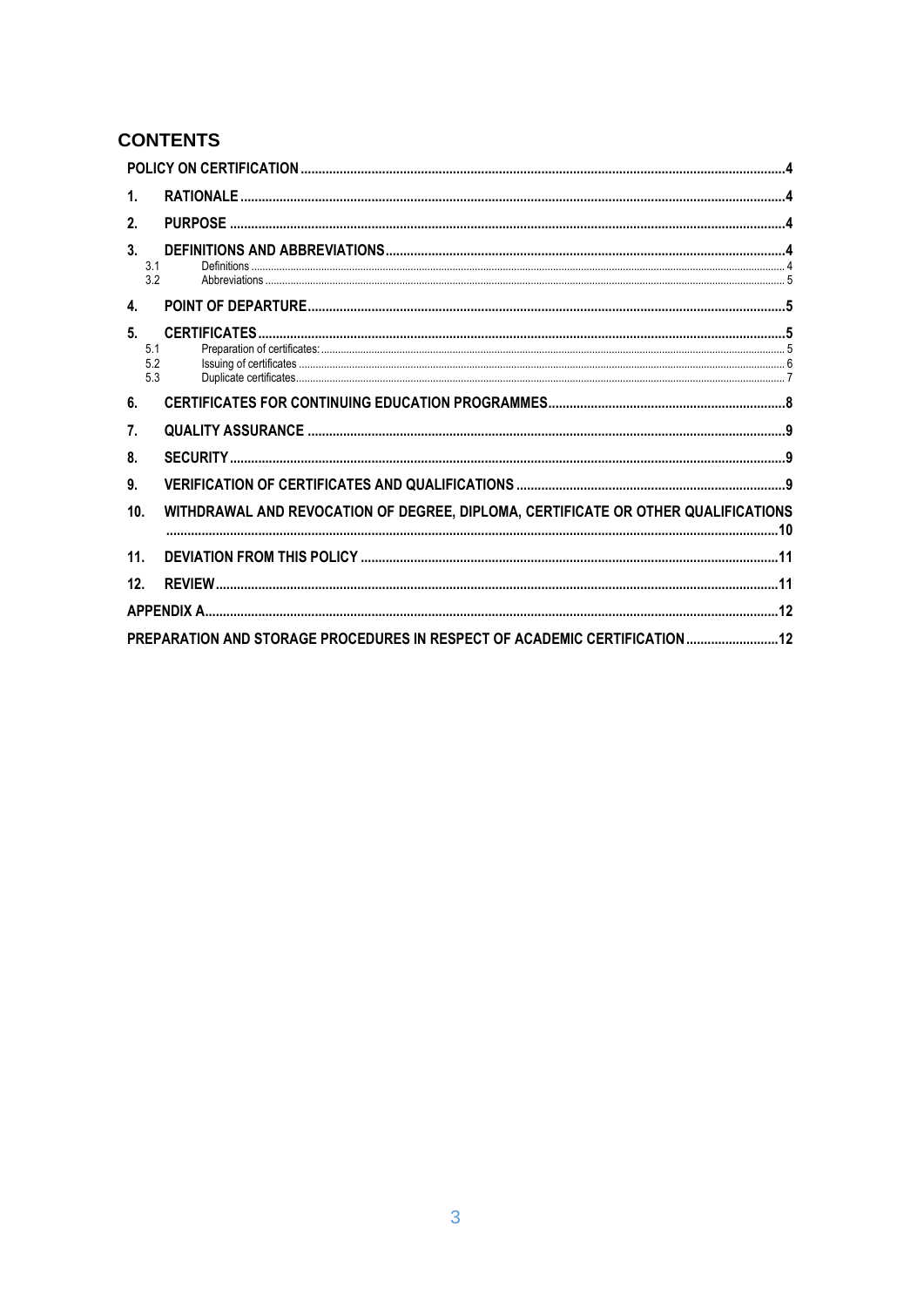# **CONTENTS**

| 1.                      |                                                                                   |  |
|-------------------------|-----------------------------------------------------------------------------------|--|
| 2.                      |                                                                                   |  |
| 3.<br>3.1<br>3.2        |                                                                                   |  |
| 4.                      |                                                                                   |  |
| 5.<br>5.1<br>5.2<br>5.3 |                                                                                   |  |
| 6.                      |                                                                                   |  |
| 7.                      |                                                                                   |  |
| 8.                      |                                                                                   |  |
| 9.                      |                                                                                   |  |
| 10 <sub>1</sub>         | WITHDRAWAL AND REVOCATION OF DEGREE, DIPLOMA, CERTIFICATE OR OTHER QUALIFICATIONS |  |
| 11.                     |                                                                                   |  |
| 12 <sub>1</sub>         |                                                                                   |  |
|                         |                                                                                   |  |
|                         | PREPARATION AND STORAGE PROCEDURES IN RESPECT OF ACADEMIC CERTIFICATION 12        |  |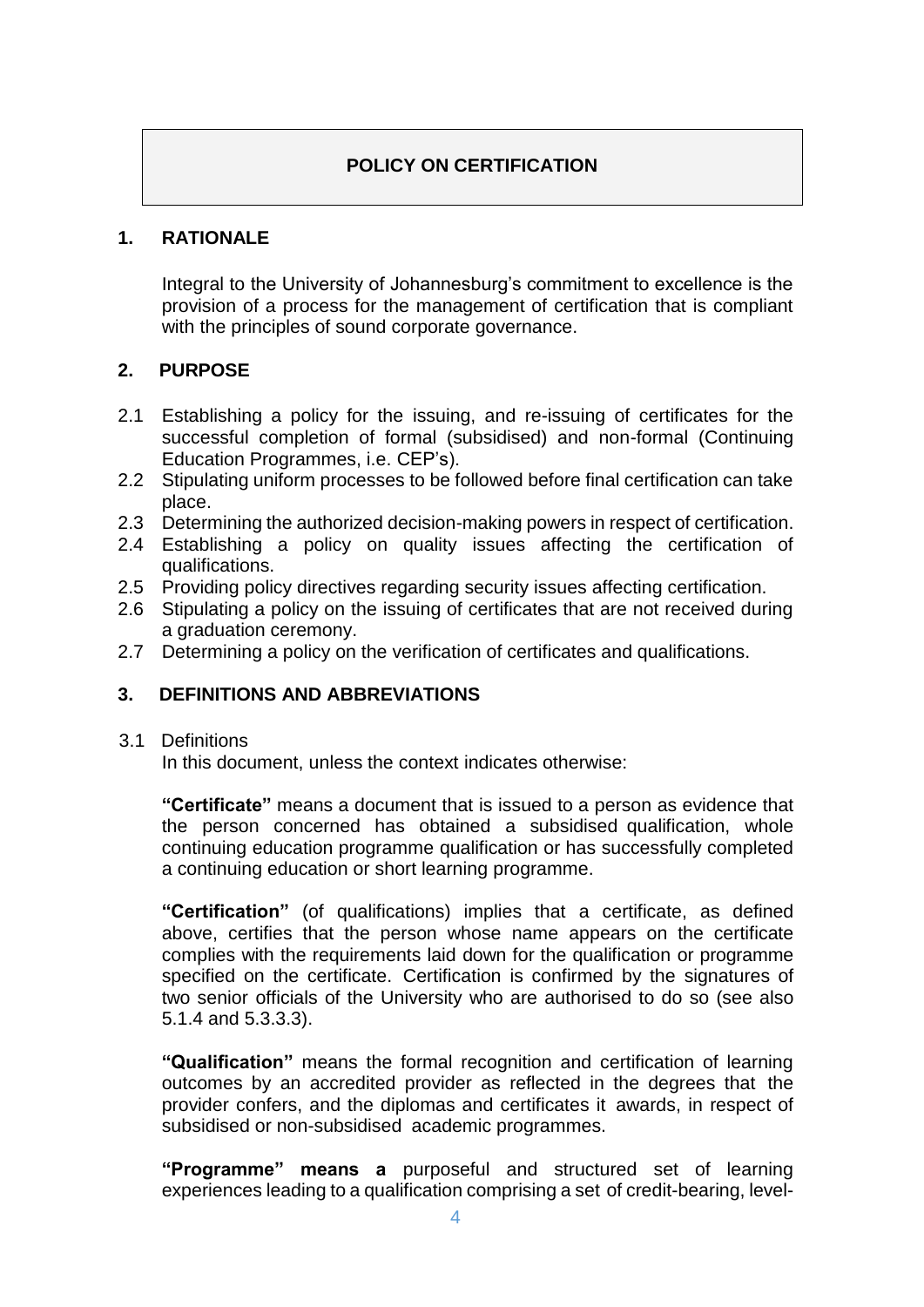## **POLICY ON CERTIFICATION**

### <span id="page-3-1"></span><span id="page-3-0"></span>**1. RATIONALE**

Integral to the University of Johannesburg's commitment to excellence is the provision of a process for the management of certification that is compliant with the principles of sound corporate governance.

### <span id="page-3-2"></span>**2. PURPOSE**

- 2.1 Establishing a policy for the issuing, and re-issuing of certificates for the successful completion of formal (subsidised) and non-formal (Continuing Education Programmes, i.e. CEP's).
- 2.2 Stipulating uniform processes to be followed before final certification can take place.
- 2.3 Determining the authorized decision-making powers in respect of certification.
- 2.4 Establishing a policy on quality issues affecting the certification of qualifications.
- 2.5 Providing policy directives regarding security issues affecting certification.
- 2.6 Stipulating a policy on the issuing of certificates that are not received during a graduation ceremony.
- 2.7 Determining a policy on the verification of certificates and qualifications.

## <span id="page-3-3"></span>**3. DEFINITIONS AND ABBREVIATIONS**

#### <span id="page-3-4"></span>3.1 Definitions

In this document, unless the context indicates otherwise:

**"Certificate"** means a document that is issued to a person as evidence that the person concerned has obtained a subsidised qualification, whole continuing education programme qualification or has successfully completed a continuing education or short learning programme.

**"Certification"** (of qualifications) implies that a certificate, as defined above, certifies that the person whose name appears on the certificate complies with the requirements laid down for the qualification or programme specified on the certificate. Certification is confirmed by the signatures of two senior officials of the University who are authorised to do so (see also 5.1.4 and 5.3.3.3).

**"Qualification"** means the formal recognition and certification of learning outcomes by an accredited provider as reflected in the degrees that the provider confers, and the diplomas and certificates it awards, in respect of subsidised or non-subsidised academic programmes.

**"Programme" means a** purposeful and structured set of learning experiences leading to a qualification comprising a set of credit-bearing, level-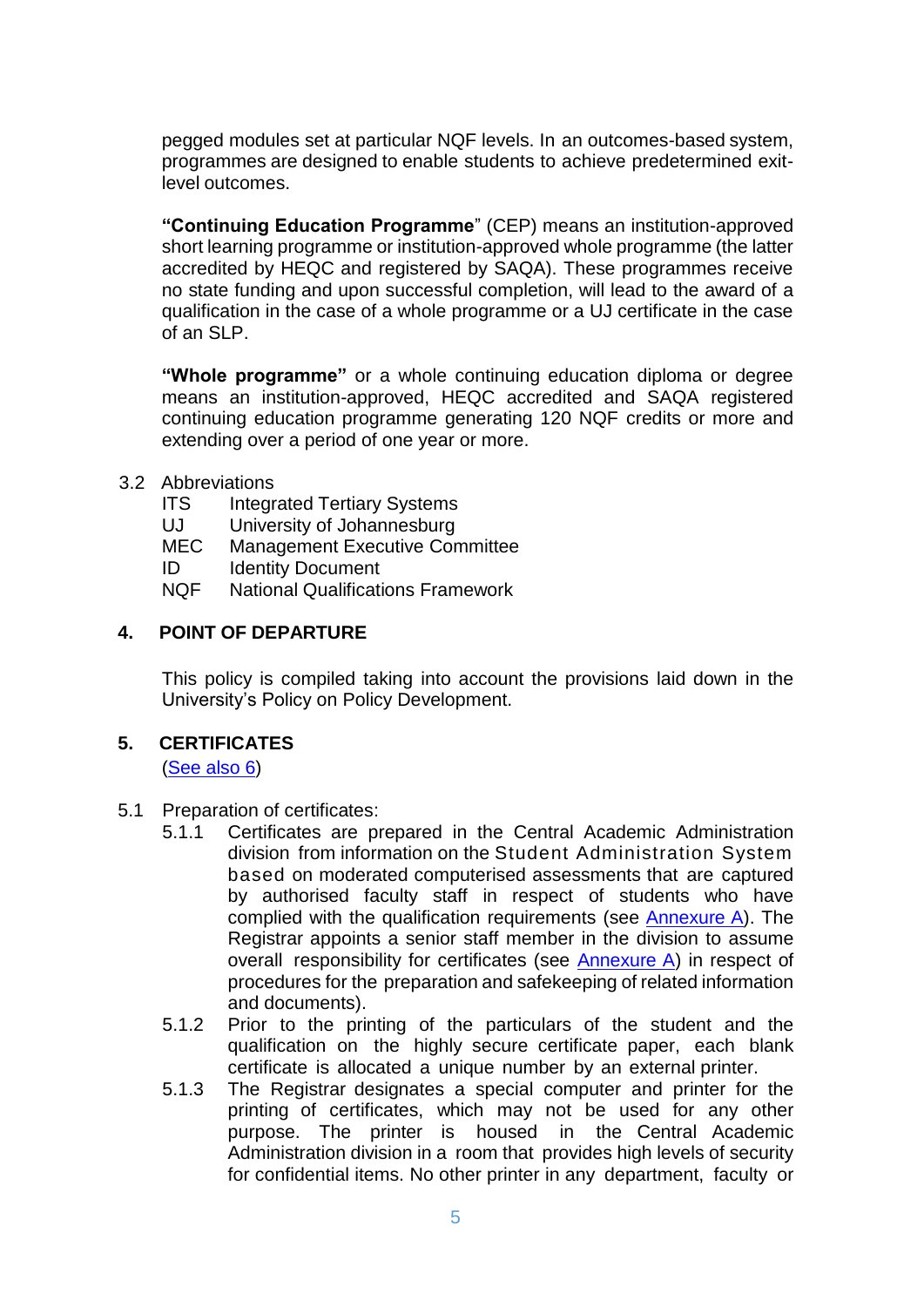pegged modules set at particular NQF levels. In an outcomes-based system, programmes are designed to enable students to achieve predetermined exitlevel outcomes.

**"Continuing Education Programme**" (CEP) means an institution-approved short learning programme or institution-approved whole programme (the latter accredited by HEQC and registered by SAQA). These programmes receive no state funding and upon successful completion, will lead to the award of a qualification in the case of a whole programme or a UJ certificate in the case of an SLP.

**"Whole programme"** or a whole continuing education diploma or degree means an institution-approved, HEQC accredited and SAQA registered continuing education programme generating 120 NQF credits or more and extending over a period of one year or more.

#### <span id="page-4-0"></span>3.2 Abbreviations

- ITS Integrated Tertiary Systems
- UJ University of Johannesburg
- MEC Management Executive Committee
- ID Identity Document
- NQF National Qualifications Framework

#### <span id="page-4-1"></span>**4. POINT OF DEPARTURE**

This policy is compiled taking into account the provisions laid down in the University's Policy on Policy Development.

### <span id="page-4-2"></span>**5. CERTIFICATES**

[\(See](#page-7-0) also 6)

- <span id="page-4-3"></span>5.1 Preparation of certificates:
	- 5.1.1 Certificates are prepared in the Central Academic Administration division from information on the Student Administration System based on moderated computerised assessments that are captured by authorised faculty staff in respect of students who have complied with the qualification requirements (see Annexure A). The Registrar appoints a senior staff member in the division to assume overall responsibility for certificates (see Annexure A) in respect of procedures for the preparation and safekeeping of related information and documents).
	- 5.1.2 Prior to the printing of the particulars of the student and the qualification on the highly secure certificate paper, each blank certificate is allocated a unique number by an external printer.
	- 5.1.3 The Registrar designates a special computer and printer for the printing of certificates, which may not be used for any other purpose. The printer is housed in the Central Academic Administration division in a room that provides high levels of security for confidential items. No other printer in any department, faculty or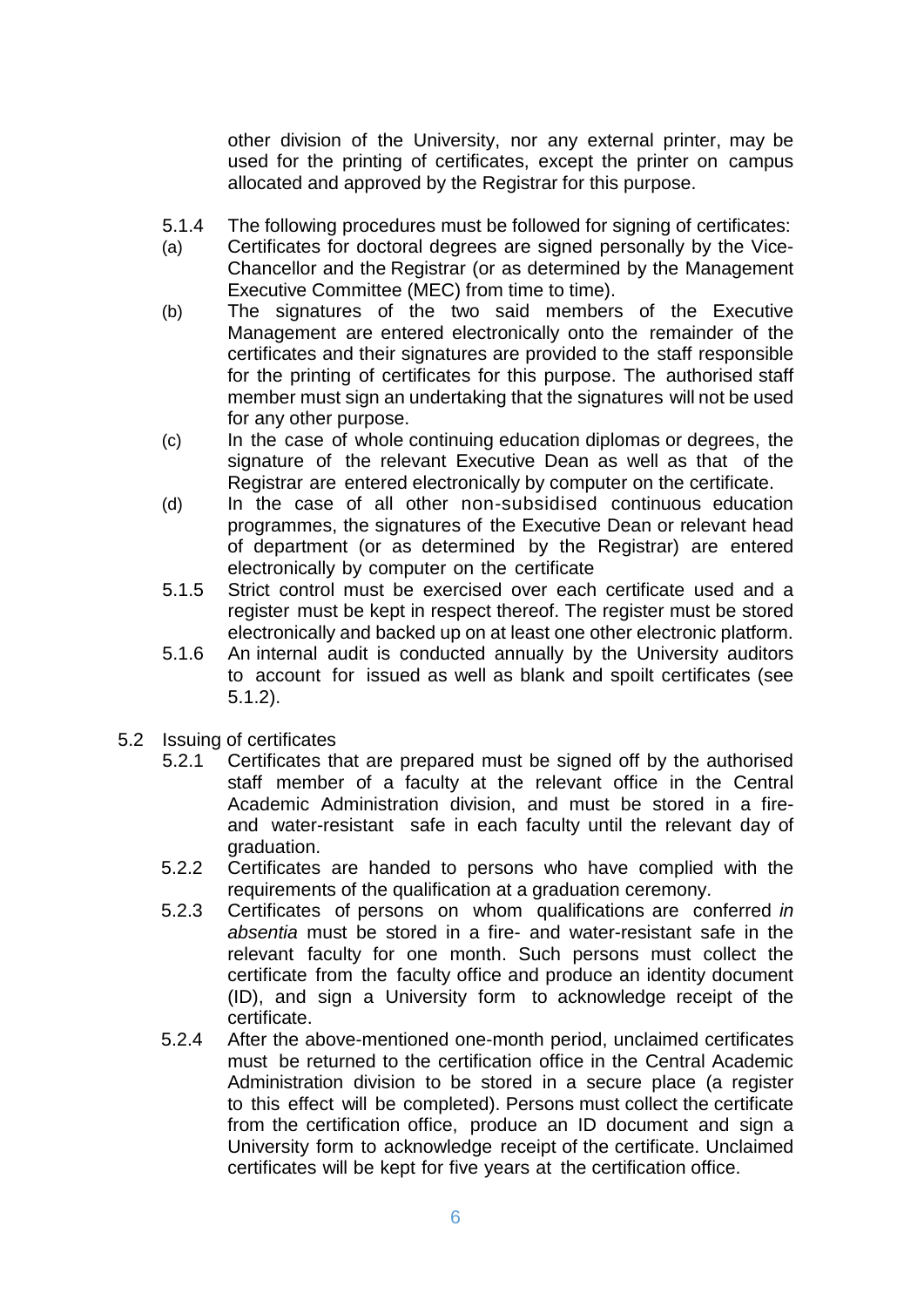other division of the University, nor any external printer, may be used for the printing of certificates, except the printer on campus allocated and approved by the Registrar for this purpose.

- 5.1.4 The following procedures must be followed for signing of certificates:
- (a) Certificates for doctoral degrees are signed personally by the Vice-Chancellor and the Registrar (or as determined by the Management Executive Committee (MEC) from time to time).
- (b) The signatures of the two said members of the Executive Management are entered electronically onto the remainder of the certificates and their signatures are provided to the staff responsible for the printing of certificates for this purpose. The authorised staff member must sign an undertaking that the signatures will not be used for any other purpose.
- (c) In the case of whole continuing education diplomas or degrees, the signature of the relevant Executive Dean as well as that of the Registrar are entered electronically by computer on the certificate.
- (d) In the case of all other non-subsidised continuous education programmes, the signatures of the Executive Dean or relevant head of department (or as determined by the Registrar) are entered electronically by computer on the certificate
- 5.1.5 Strict control must be exercised over each certificate used and a register must be kept in respect thereof. The register must be stored electronically and backed up on at least one other electronic platform.
- 5.1.6 An internal audit is conducted annually by the University auditors to account for issued as well as blank and spoilt certificates (see 5.1.2).
- <span id="page-5-0"></span>5.2 Issuing of certificates
	- 5.2.1 Certificates that are prepared must be signed off by the authorised staff member of a faculty at the relevant office in the Central Academic Administration division, and must be stored in a fireand water-resistant safe in each faculty until the relevant day of graduation.
	- 5.2.2 Certificates are handed to persons who have complied with the requirements of the qualification at a graduation ceremony.
	- 5.2.3 Certificates of persons on whom qualifications are conferred *in absentia* must be stored in a fire- and water-resistant safe in the relevant faculty for one month. Such persons must collect the certificate from the faculty office and produce an identity document (ID), and sign a University form to acknowledge receipt of the certificate.
	- 5.2.4 After the above-mentioned one-month period, unclaimed certificates must be returned to the certification office in the Central Academic Administration division to be stored in a secure place (a register to this effect will be completed). Persons must collect the certificate from the certification office, produce an ID document and sign a University form to acknowledge receipt of the certificate. Unclaimed certificates will be kept for five years at the certification office.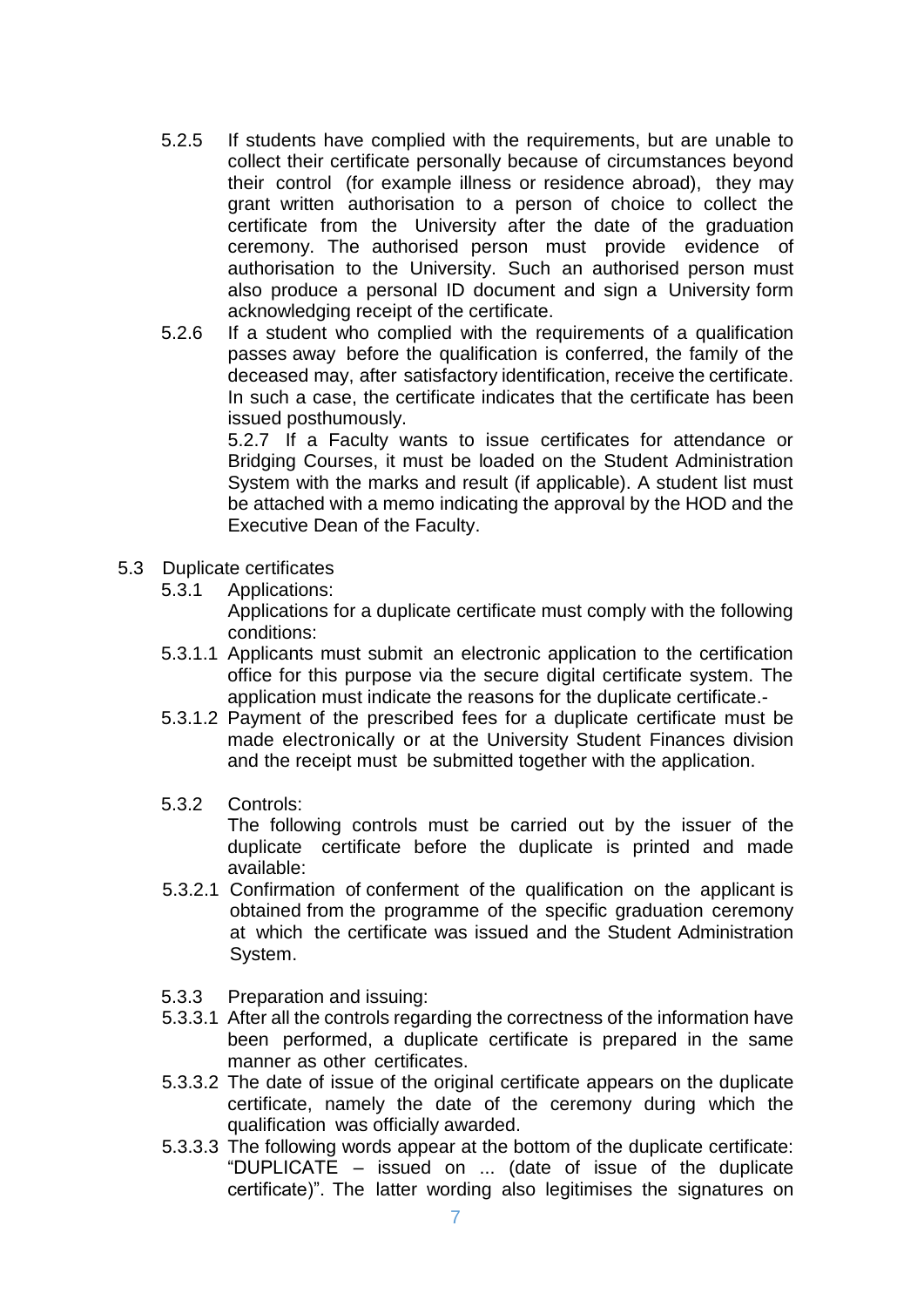- 5.2.5 If students have complied with the requirements, but are unable to collect their certificate personally because of circumstances beyond their control (for example illness or residence abroad), they may grant written authorisation to a person of choice to collect the certificate from the University after the date of the graduation ceremony. The authorised person must provide evidence of authorisation to the University. Such an authorised person must also produce a personal ID document and sign a University form acknowledging receipt of the certificate.
- 5.2.6 If a student who complied with the requirements of a qualification passes away before the qualification is conferred, the family of the deceased may, after satisfactory identification, receive the certificate. In such a case, the certificate indicates that the certificate has been issued posthumously.

5.2.7 If a Faculty wants to issue certificates for attendance or Bridging Courses, it must be loaded on the Student Administration System with the marks and result (if applicable). A student list must be attached with a memo indicating the approval by the HOD and the Executive Dean of the Faculty.

- <span id="page-6-0"></span>5.3 Duplicate certificates
	- 5.3.1 Applications:

Applications for a duplicate certificate must comply with the following conditions:

- 5.3.1.1 Applicants must submit an electronic application to the certification office for this purpose via the secure digital certificate system. The application must indicate the reasons for the duplicate certificate.-
- 5.3.1.2 Payment of the prescribed fees for a duplicate certificate must be made electronically or at the University Student Finances division and the receipt must be submitted together with the application.
- 5.3.2 Controls:

The following controls must be carried out by the issuer of the duplicate certificate before the duplicate is printed and made available:

- 5.3.2.1 Confirmation of conferment of the qualification on the applicant is obtained from the programme of the specific graduation ceremony at which the certificate was issued and the Student Administration System.
- 5.3.3 Preparation and issuing:
- 5.3.3.1 After all the controls regarding the correctness of the information have been performed, a duplicate certificate is prepared in the same manner as other certificates.
- 5.3.3.2 The date of issue of the original certificate appears on the duplicate certificate, namely the date of the ceremony during which the qualification was officially awarded.
- 5.3.3.3 The following words appear at the bottom of the duplicate certificate: "DUPLICATE – issued on ... (date of issue of the duplicate certificate)". The latter wording also legitimises the signatures on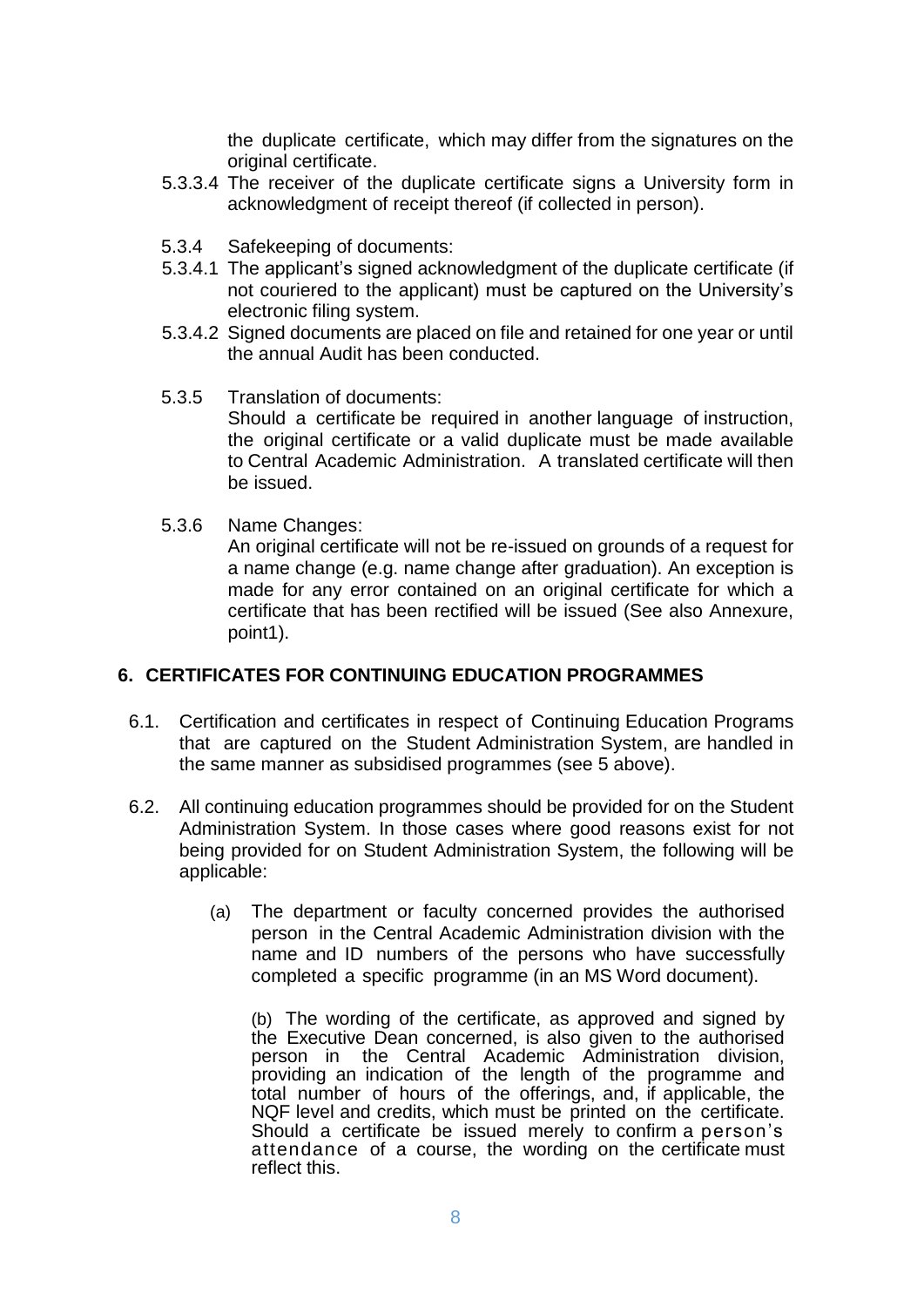the duplicate certificate, which may differ from the signatures on the original certificate.

- 5.3.3.4 The receiver of the duplicate certificate signs a University form in acknowledgment of receipt thereof (if collected in person).
- 5.3.4 Safekeeping of documents:
- 5.3.4.1 The applicant's signed acknowledgment of the duplicate certificate (if not couriered to the applicant) must be captured on the University's electronic filing system.
- 5.3.4.2 Signed documents are placed on file and retained for one year or until the annual Audit has been conducted.
- 5.3.5 Translation of documents: Should a certificate be required in another language of instruction, the original certificate or a valid duplicate must be made available to Central Academic Administration. A translated certificate will then be issued.
- 5.3.6 Name Changes:

An original certificate will not be re-issued on grounds of a request for a name change (e.g. name change after graduation). An exception is made for any error contained on an original certificate for which a certificate that has been rectified will be issued (See also Annexure, point1).

#### <span id="page-7-0"></span>**6. CERTIFICATES FOR CONTINUING EDUCATION PROGRAMMES**

- 6.1. Certification and certificates in respect of Continuing Education Programs that are captured on the Student Administration System, are handled in the same manner as subsidised programmes (see 5 above).
- 6.2. All continuing education programmes should be provided for on the Student Administration System. In those cases where good reasons exist for not being provided for on Student Administration System, the following will be applicable:
	- (a) The department or faculty concerned provides the authorised person in the Central Academic Administration division with the name and ID numbers of the persons who have successfully completed a specific programme (in an MS Word document).

(b) The wording of the certificate, as approved and signed by the Executive Dean concerned, is also given to the authorised person in the Central Academic Administration division, providing an indication of the length of the programme and total number of hours of the offerings, and, if applicable, the NQF level and credits, which must be printed on the certificate. Should a certificate be issued merely to confirm a person's attendance of a course, the wording on the certificate must reflect this.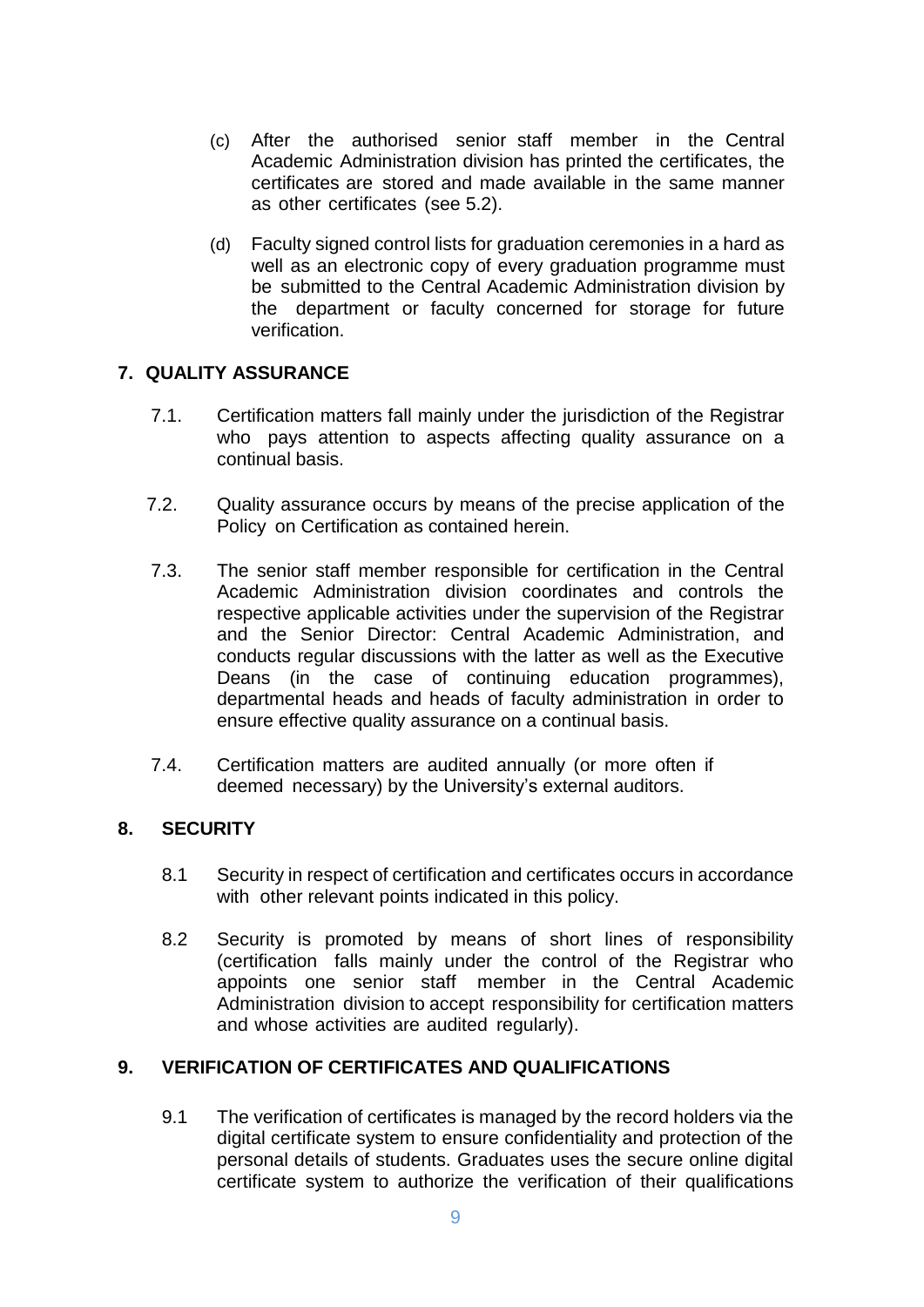- (c) After the authorised senior staff member in the Central Academic Administration division has printed the certificates, the certificates are stored and made available in the same manner as other certificates (see 5.2).
- (d) Faculty signed control lists for graduation ceremonies in a hard as well as an electronic copy of every graduation programme must be submitted to the Central Academic Administration division by the department or faculty concerned for storage for future verification.

## <span id="page-8-0"></span>**7. QUALITY ASSURANCE**

- 7.1. Certification matters fall mainly under the jurisdiction of the Registrar who pays attention to aspects affecting quality assurance on a continual basis.
- 7.2. Quality assurance occurs by means of the precise application of the Policy on Certification as contained herein.
- 7.3. The senior staff member responsible for certification in the Central Academic Administration division coordinates and controls the respective applicable activities under the supervision of the Registrar and the Senior Director: Central Academic Administration, and conducts regular discussions with the latter as well as the Executive Deans (in the case of continuing education programmes), departmental heads and heads of faculty administration in order to ensure effective quality assurance on a continual basis.
- 7.4. Certification matters are audited annually (or more often if deemed necessary) by the University's external auditors.

#### <span id="page-8-1"></span>**8. SECURITY**

- 8.1 Security in respect of certification and certificates occurs in accordance with other relevant points indicated in this policy.
- 8.2 Security is promoted by means of short lines of responsibility (certification falls mainly under the control of the Registrar who appoints one senior staff member in the Central Academic Administration division to accept responsibility for certification matters and whose activities are audited regularly).

#### <span id="page-8-2"></span>**9. VERIFICATION OF CERTIFICATES AND QUALIFICATIONS**

9.1 The verification of certificates is managed by the record holders via the digital certificate system to ensure confidentiality and protection of the personal details of students. Graduates uses the secure online digital certificate system to authorize the verification of their qualifications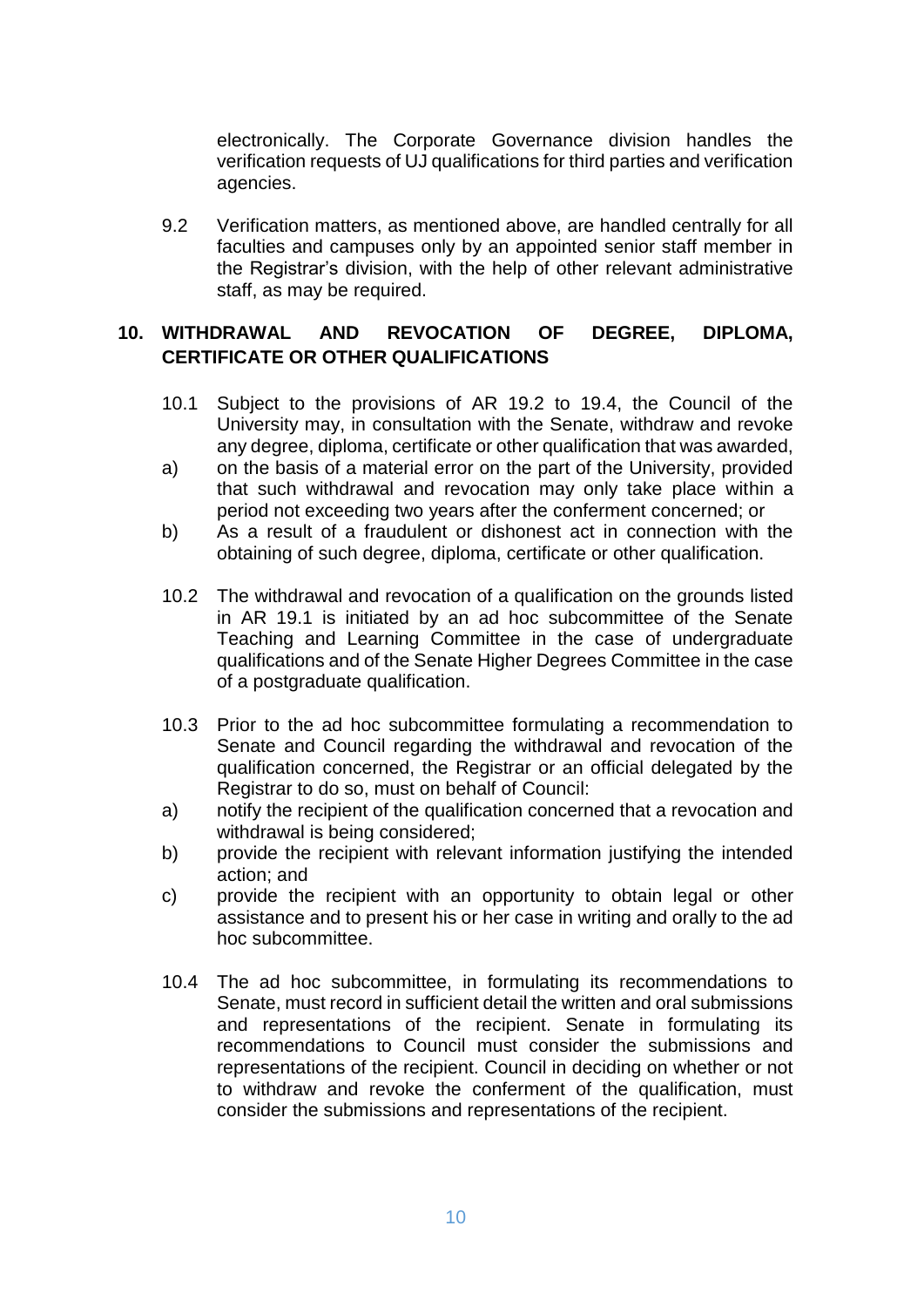electronically. The Corporate Governance division handles the verification requests of UJ qualifications for third parties and verification agencies.

9.2 Verification matters, as mentioned above, are handled centrally for all faculties and campuses only by an appointed senior staff member in the Registrar's division, with the help of other relevant administrative staff, as may be required.

## <span id="page-9-0"></span>**10. WITHDRAWAL AND REVOCATION OF DEGREE, DIPLOMA, CERTIFICATE OR OTHER QUALIFICATIONS**

- 10.1 Subject to the provisions of AR 19.2 to 19.4, the Council of the University may, in consultation with the Senate, withdraw and revoke any degree, diploma, certificate or other qualification that was awarded,
- a) on the basis of a material error on the part of the University, provided that such withdrawal and revocation may only take place within a period not exceeding two years after the conferment concerned; or
- b) As a result of a fraudulent or dishonest act in connection with the obtaining of such degree, diploma, certificate or other qualification.
- 10.2 The withdrawal and revocation of a qualification on the grounds listed in AR 19.1 is initiated by an ad hoc subcommittee of the Senate Teaching and Learning Committee in the case of undergraduate qualifications and of the Senate Higher Degrees Committee in the case of a postgraduate qualification.
- 10.3 Prior to the ad hoc subcommittee formulating a recommendation to Senate and Council regarding the withdrawal and revocation of the qualification concerned, the Registrar or an official delegated by the Registrar to do so, must on behalf of Council:
- a) notify the recipient of the qualification concerned that a revocation and withdrawal is being considered;
- b) provide the recipient with relevant information justifying the intended action; and
- c) provide the recipient with an opportunity to obtain legal or other assistance and to present his or her case in writing and orally to the ad hoc subcommittee.
- 10.4 The ad hoc subcommittee, in formulating its recommendations to Senate, must record in sufficient detail the written and oral submissions and representations of the recipient. Senate in formulating its recommendations to Council must consider the submissions and representations of the recipient. Council in deciding on whether or not to withdraw and revoke the conferment of the qualification, must consider the submissions and representations of the recipient.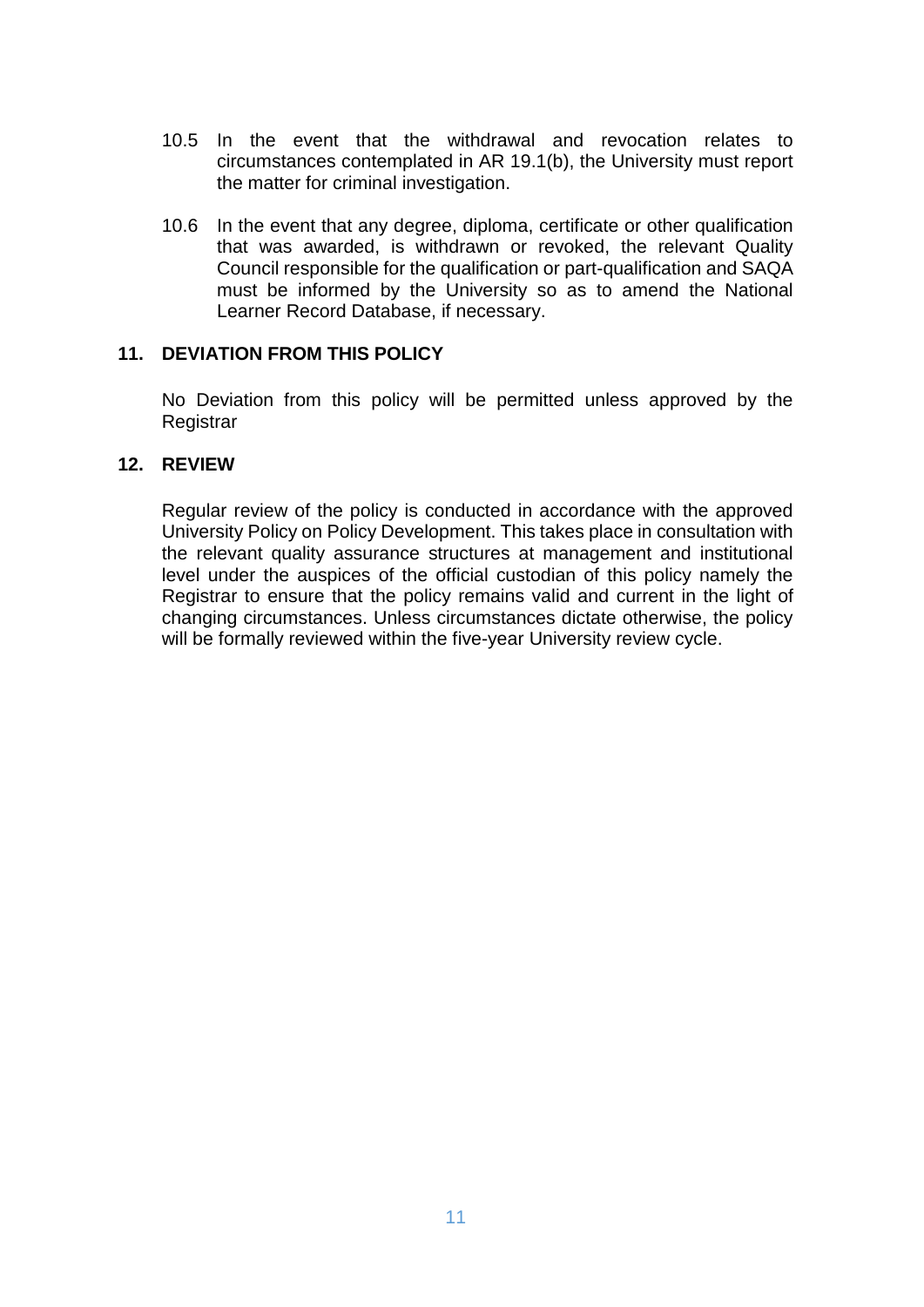- 10.5 In the event that the withdrawal and revocation relates to circumstances contemplated in AR 19.1(b), the University must report the matter for criminal investigation.
- 10.6 In the event that any degree, diploma, certificate or other qualification that was awarded, is withdrawn or revoked, the relevant Quality Council responsible for the qualification or part-qualification and SAQA must be informed by the University so as to amend the National Learner Record Database, if necessary.

#### <span id="page-10-0"></span>**11. DEVIATION FROM THIS POLICY**

No Deviation from this policy will be permitted unless approved by the **Registrar** 

#### <span id="page-10-1"></span>**12. REVIEW**

Regular review of the policy is conducted in accordance with the approved University Policy on Policy Development. This takes place in consultation with the relevant quality assurance structures at management and institutional level under the auspices of the official custodian of this policy namely the Registrar to ensure that the policy remains valid and current in the light of changing circumstances. Unless circumstances dictate otherwise, the policy will be formally reviewed within the five-year University review cycle.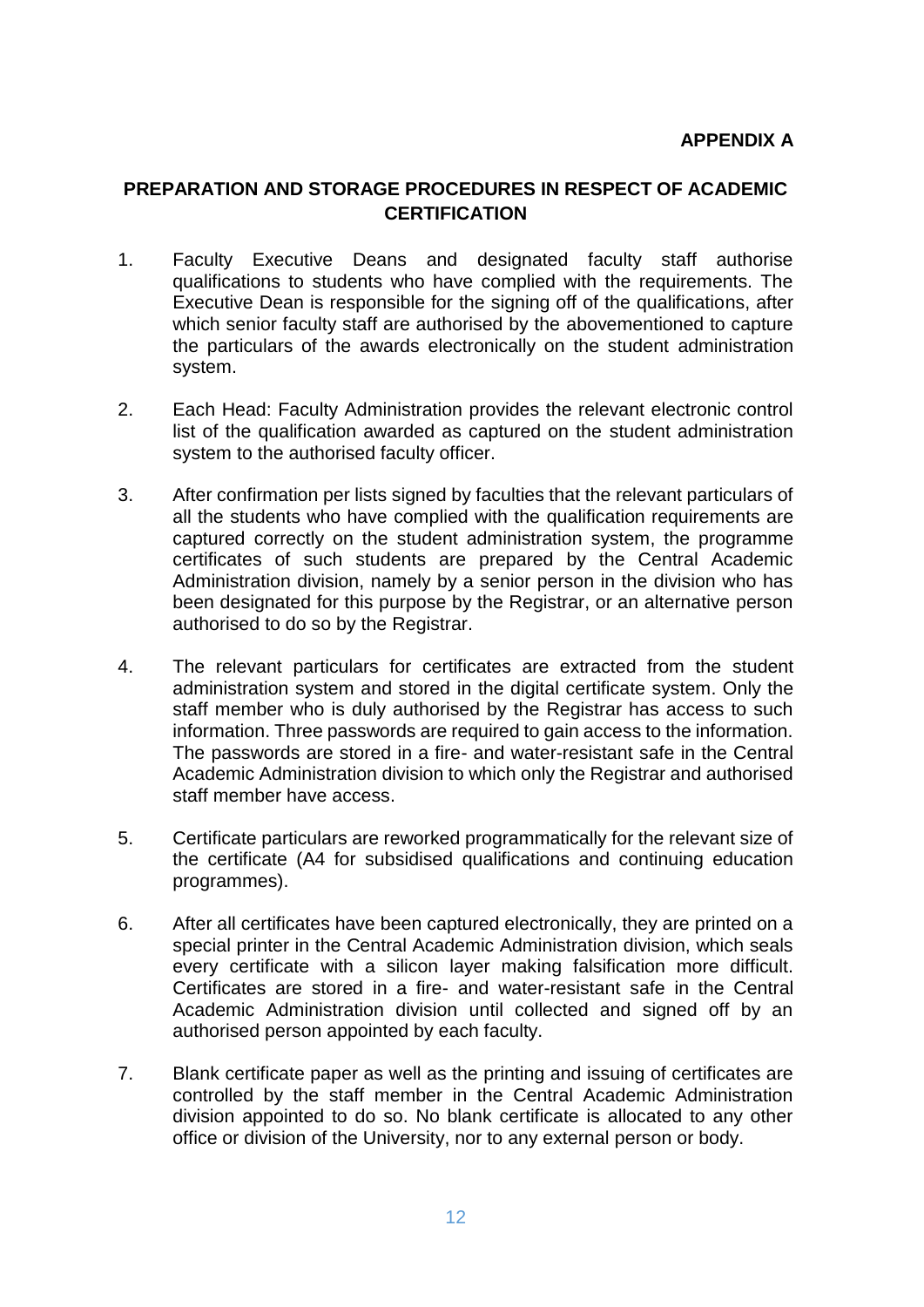### <span id="page-11-1"></span><span id="page-11-0"></span>**PREPARATION AND STORAGE PROCEDURES IN RESPECT OF ACADEMIC CERTIFICATION**

- 1. Faculty Executive Deans and designated faculty staff authorise qualifications to students who have complied with the requirements. The Executive Dean is responsible for the signing off of the qualifications, after which senior faculty staff are authorised by the abovementioned to capture the particulars of the awards electronically on the student administration system.
- 2. Each Head: Faculty Administration provides the relevant electronic control list of the qualification awarded as captured on the student administration system to the authorised faculty officer.
- 3. After confirmation per lists signed by faculties that the relevant particulars of all the students who have complied with the qualification requirements are captured correctly on the student administration system, the programme certificates of such students are prepared by the Central Academic Administration division, namely by a senior person in the division who has been designated for this purpose by the Registrar, or an alternative person authorised to do so by the Registrar.
- 4. The relevant particulars for certificates are extracted from the student administration system and stored in the digital certificate system. Only the staff member who is duly authorised by the Registrar has access to such information. Three passwords are required to gain access to the information. The passwords are stored in a fire- and water-resistant safe in the Central Academic Administration division to which only the Registrar and authorised staff member have access.
- 5. Certificate particulars are reworked programmatically for the relevant size of the certificate (A4 for subsidised qualifications and continuing education programmes).
- 6. After all certificates have been captured electronically, they are printed on a special printer in the Central Academic Administration division, which seals every certificate with a silicon layer making falsification more difficult. Certificates are stored in a fire- and water-resistant safe in the Central Academic Administration division until collected and signed off by an authorised person appointed by each faculty.
- 7. Blank certificate paper as well as the printing and issuing of certificates are controlled by the staff member in the Central Academic Administration division appointed to do so. No blank certificate is allocated to any other office or division of the University, nor to any external person or body.